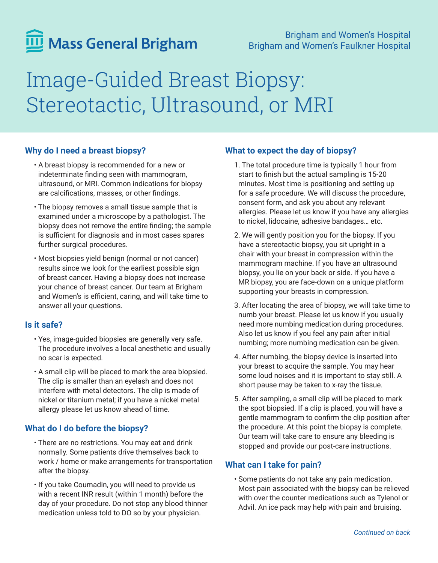# Mass General Brigham

# Image-Guided Breast Biopsy: Stereotactic, Ultrasound, or MRI

# **Why do I need a breast biopsy?**

- A breast biopsy is recommended for a new or indeterminate finding seen with mammogram, ultrasound, or MRI. Common indications for biopsy are calcifications, masses, or other findings.
- The biopsy removes a small tissue sample that is examined under a microscope by a pathologist. The biopsy does not remove the entire finding; the sample is sufficient for diagnosis and in most cases spares further surgical procedures.
- Most biopsies yield benign (normal or not cancer) results since we look for the earliest possible sign of breast cancer. Having a biopsy does not increase your chance of breast cancer. Our team at Brigham and Women's is efficient, caring, and will take time to answer all your questions.

### **Is it safe?**

- Yes, image-guided biopsies are generally very safe. The procedure involves a local anesthetic and usually no scar is expected.
- A small clip will be placed to mark the area biopsied. The clip is smaller than an eyelash and does not interfere with metal detectors. The clip is made of nickel or titanium metal; if you have a nickel metal allergy please let us know ahead of time.

# **What do I do before the biopsy?**

- There are no restrictions. You may eat and drink normally. Some patients drive themselves back to work / home or make arrangements for transportation after the biopsy.
- If you take Coumadin, you will need to provide us with a recent INR result (within 1 month) before the day of your procedure. Do not stop any blood thinner medication unless told to DO so by your physician.

# **What to expect the day of biopsy?**

- 1. The total procedure time is typically 1 hour from start to finish but the actual sampling is 15-20 minutes. Most time is positioning and setting up for a safe procedure. We will discuss the procedure, consent form, and ask you about any relevant allergies. Please let us know if you have any allergies to nickel, lidocaine, adhesive bandages… etc.
- 2. We will gently position you for the biopsy. If you have a stereotactic biopsy, you sit upright in a chair with your breast in compression within the mammogram machine. If you have an ultrasound biopsy, you lie on your back or side. If you have a MR biopsy, you are face-down on a unique platform supporting your breasts in compression.
- 3. After locating the area of biopsy, we will take time to numb your breast. Please let us know if you usually need more numbing medication during procedures. Also let us know if you feel any pain after initial numbing; more numbing medication can be given.
- 4. After numbing, the biopsy device is inserted into your breast to acquire the sample. You may hear some loud noises and it is important to stay still. A short pause may be taken to x-ray the tissue.
- 5. After sampling, a small clip will be placed to mark the spot biopsied. If a clip is placed, you will have a gentle mammogram to confirm the clip position after the procedure. At this point the biopsy is complete. Our team will take care to ensure any bleeding is stopped and provide our post-care instructions.

# **What can I take for pain?**

• Some patients do not take any pain medication. Most pain associated with the biopsy can be relieved with over the counter medications such as Tylenol or Advil. An ice pack may help with pain and bruising.